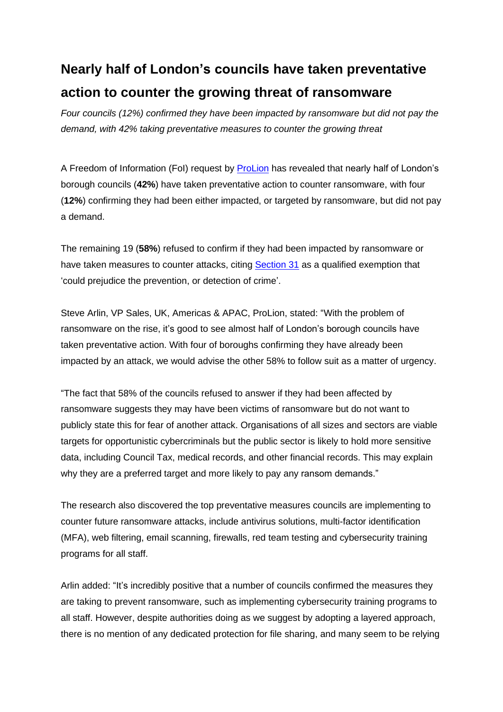## **Nearly half of London's councils have taken preventative action to counter the growing threat of ransomware**

*Four councils (12%) confirmed they have been impacted by ransomware but did not pay the demand, with 42% taking preventative measures to counter the growing threat* 

A Freedom of Information (FoI) request by [ProLion](https://prolion.com/) has revealed that nearly half of London's borough councils (**42%**) have taken preventative action to counter ransomware, with four (**12%**) confirming they had been either impacted, or targeted by ransomware, but did not pay a demand.

The remaining 19 (**58%**) refused to confirm if they had been impacted by ransomware or have taken measures to counter attacks, citing [Section 31](https://ico.org.uk/media/for-organisations/documents/1207/law-enforcement-foi-section-31.pdf) as a qualified exemption that 'could prejudice the prevention, or detection of crime'.

Steve Arlin, VP Sales, UK, Americas & APAC, ProLion, stated: "With the problem of ransomware on the rise, it's good to see almost half of London's borough councils have taken preventative action. With four of boroughs confirming they have already been impacted by an attack, we would advise the other 58% to follow suit as a matter of urgency.

"The fact that 58% of the councils refused to answer if they had been affected by ransomware suggests they may have been victims of ransomware but do not want to publicly state this for fear of another attack. Organisations of all sizes and sectors are viable targets for opportunistic cybercriminals but the public sector is likely to hold more sensitive data, including Council Tax, medical records, and other financial records. This may explain why they are a preferred target and more likely to pay any ransom demands."

The research also discovered the top preventative measures councils are implementing to counter future ransomware attacks, include antivirus solutions, multi-factor identification (MFA), web filtering, email scanning, firewalls, red team testing and cybersecurity training programs for all staff.

Arlin added: "It's incredibly positive that a number of councils confirmed the measures they are taking to prevent ransomware, such as implementing cybersecurity training programs to all staff. However, despite authorities doing as we suggest by adopting a layered approach, there is no mention of any dedicated protection for file sharing, and many seem to be relying